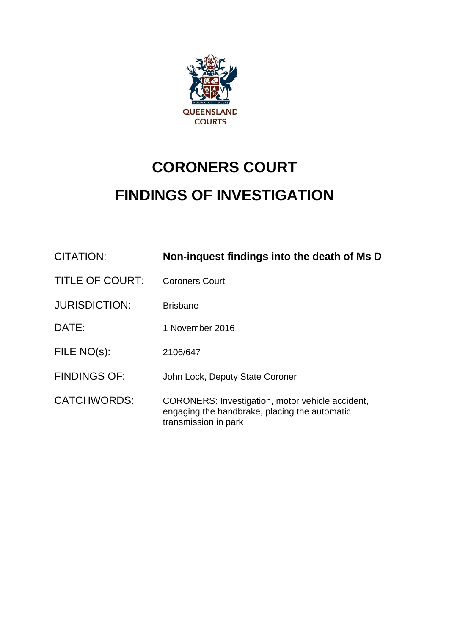

# **CORONERS COURT FINDINGS OF INVESTIGATION**

| <b>CITATION:</b>       | Non-inquest findings into the death of Ms D                                                                               |
|------------------------|---------------------------------------------------------------------------------------------------------------------------|
| <b>TITLE OF COURT:</b> | <b>Coroners Court</b>                                                                                                     |
| <b>JURISDICTION:</b>   | <b>Brisbane</b>                                                                                                           |
| DATE:                  | 1 November 2016                                                                                                           |
| FILE NO(s):            | 2106/647                                                                                                                  |
| <b>FINDINGS OF:</b>    | John Lock, Deputy State Coroner                                                                                           |
| <b>CATCHWORDS:</b>     | CORONERS: Investigation, motor vehicle accident,<br>engaging the handbrake, placing the automatic<br>transmission in park |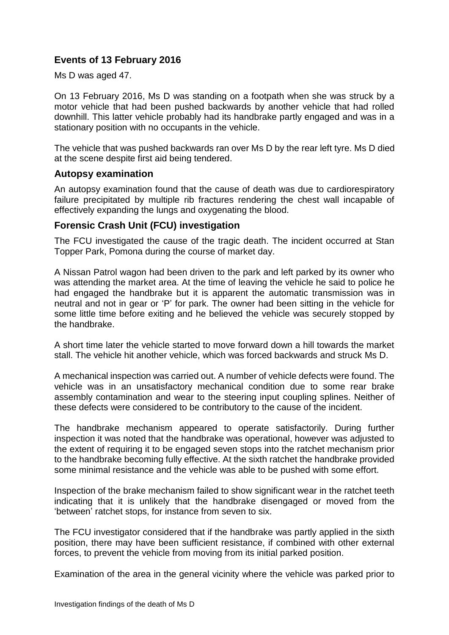## **Events of 13 February 2016**

Ms D was aged 47.

On 13 February 2016, Ms D was standing on a footpath when she was struck by a motor vehicle that had been pushed backwards by another vehicle that had rolled downhill. This latter vehicle probably had its handbrake partly engaged and was in a stationary position with no occupants in the vehicle.

The vehicle that was pushed backwards ran over Ms D by the rear left tyre. Ms D died at the scene despite first aid being tendered.

#### **Autopsy examination**

An autopsy examination found that the cause of death was due to cardiorespiratory failure precipitated by multiple rib fractures rendering the chest wall incapable of effectively expanding the lungs and oxygenating the blood.

### **Forensic Crash Unit (FCU) investigation**

The FCU investigated the cause of the tragic death. The incident occurred at Stan Topper Park, Pomona during the course of market day.

A Nissan Patrol wagon had been driven to the park and left parked by its owner who was attending the market area. At the time of leaving the vehicle he said to police he had engaged the handbrake but it is apparent the automatic transmission was in neutral and not in gear or 'P' for park. The owner had been sitting in the vehicle for some little time before exiting and he believed the vehicle was securely stopped by the handbrake.

A short time later the vehicle started to move forward down a hill towards the market stall. The vehicle hit another vehicle, which was forced backwards and struck Ms D.

A mechanical inspection was carried out. A number of vehicle defects were found. The vehicle was in an unsatisfactory mechanical condition due to some rear brake assembly contamination and wear to the steering input coupling splines. Neither of these defects were considered to be contributory to the cause of the incident.

The handbrake mechanism appeared to operate satisfactorily. During further inspection it was noted that the handbrake was operational, however was adjusted to the extent of requiring it to be engaged seven stops into the ratchet mechanism prior to the handbrake becoming fully effective. At the sixth ratchet the handbrake provided some minimal resistance and the vehicle was able to be pushed with some effort.

Inspection of the brake mechanism failed to show significant wear in the ratchet teeth indicating that it is unlikely that the handbrake disengaged or moved from the 'between' ratchet stops, for instance from seven to six.

The FCU investigator considered that if the handbrake was partly applied in the sixth position, there may have been sufficient resistance, if combined with other external forces, to prevent the vehicle from moving from its initial parked position.

Examination of the area in the general vicinity where the vehicle was parked prior to